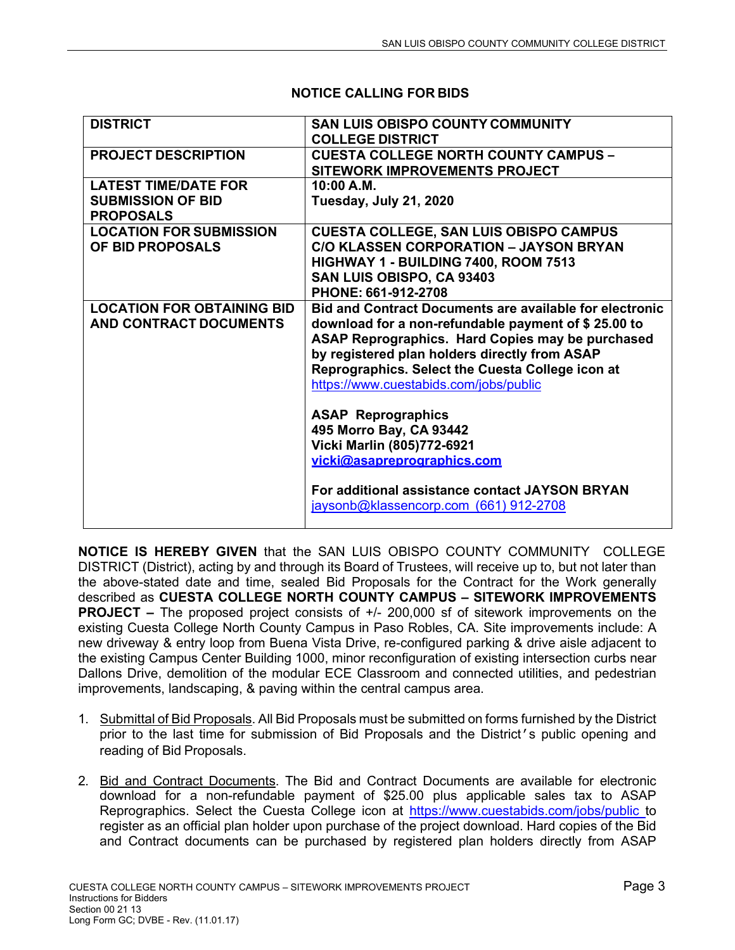| <b>DISTRICT</b>                   | <b>SAN LUIS OBISPO COUNTY COMMUNITY</b><br><b>COLLEGE DISTRICT</b> |
|-----------------------------------|--------------------------------------------------------------------|
|                                   |                                                                    |
| <b>PROJECT DESCRIPTION</b>        | <b>CUESTA COLLEGE NORTH COUNTY CAMPUS -</b>                        |
|                                   | <b>SITEWORK IMPROVEMENTS PROJECT</b>                               |
| <b>LATEST TIME/DATE FOR</b>       | 10:00 A.M.                                                         |
| <b>SUBMISSION OF BID</b>          | Tuesday, July 21, 2020                                             |
| <b>PROPOSALS</b>                  |                                                                    |
| <b>LOCATION FOR SUBMISSION</b>    | <b>CUESTA COLLEGE, SAN LUIS OBISPO CAMPUS</b>                      |
| OF BID PROPOSALS                  | <b>C/O KLASSEN CORPORATION - JAYSON BRYAN</b>                      |
|                                   | HIGHWAY 1 - BUILDING 7400, ROOM 7513                               |
|                                   | SAN LUIS OBISPO, CA 93403                                          |
|                                   | PHONE: 661-912-2708                                                |
| <b>LOCATION FOR OBTAINING BID</b> | <b>Bid and Contract Documents are available for electronic</b>     |
| <b>AND CONTRACT DOCUMENTS</b>     |                                                                    |
|                                   | download for a non-refundable payment of \$25.00 to                |
|                                   | ASAP Reprographics. Hard Copies may be purchased                   |
|                                   | by registered plan holders directly from ASAP                      |
|                                   | Reprographics. Select the Cuesta College icon at                   |
|                                   | https://www.cuestabids.com/jobs/public                             |
|                                   |                                                                    |
|                                   | <b>ASAP Reprographics</b>                                          |
|                                   | 495 Morro Bay, CA 93442                                            |
|                                   | Vicki Marlin (805)772-6921                                         |
|                                   | vicki@asapreprographics.com                                        |
|                                   |                                                                    |
|                                   | For additional assistance contact JAYSON BRYAN                     |
|                                   | jaysonb@klassencorp.com (661) 912-2708                             |
|                                   |                                                                    |
|                                   |                                                                    |

## **NOTICE CALLING FOR BIDS**

**NOTICE IS HEREBY GIVEN** that the SAN LUIS OBISPO COUNTY COMMUNITY COLLEGE DISTRICT (District), acting by and through its Board of Trustees, will receive up to, but not later than the above-stated date and time, sealed Bid Proposals for the Contract for the Work generally described as **CUESTA COLLEGE NORTH COUNTY CAMPUS – SITEWORK IMPROVEMENTS PROJECT –** The proposed project consists of  $+/- 200,000$  sf of sitework improvements on the existing Cuesta College North County Campus in Paso Robles, CA. Site improvements include: A new driveway & entry loop from Buena Vista Drive, re-configured parking & drive aisle adjacent to the existing Campus Center Building 1000, minor reconfiguration of existing intersection curbs near Dallons Drive, demolition of the modular ECE Classroom and connected utilities, and pedestrian improvements, landscaping, & paving within the central campus area.

- 1. Submittal of Bid Proposals. All Bid Proposals must be submitted on forms furnished by the District prior to the last time for submission of Bid Proposals and the District's public opening and reading of Bid Proposals.
- 2. Bid and Contract Documents. The Bid and Contract Documents are available for electronic download for a non-refundable payment of \$25.00 plus applicable sales tax to ASAP Reprographics. Select the Cuesta College icon at https://www.cuestabids.com/jobs/public to register as an official plan holder upon purchase of the project download. Hard copies of the Bid and Contract documents can be purchased by registered plan holders directly from ASAP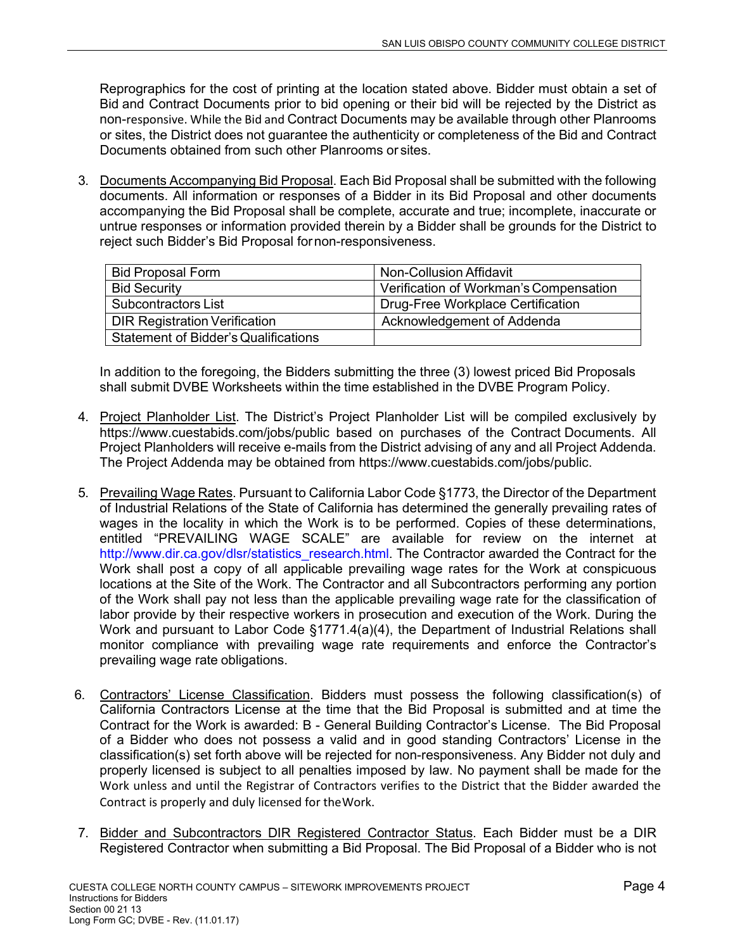Reprographics for the cost of printing at the location stated above. Bidder must obtain a set of Bid and Contract Documents prior to bid opening or their bid will be rejected by the District as non-responsive. While the Bid and Contract Documents may be available through other Planrooms or sites, the District does not guarantee the authenticity or completeness of the Bid and Contract Documents obtained from such other Planrooms or sites.

3. Documents Accompanying Bid Proposal. Each Bid Proposal shall be submitted with the following documents. All information or responses of a Bidder in its Bid Proposal and other documents accompanying the Bid Proposal shall be complete, accurate and true; incomplete, inaccurate or untrue responses or information provided therein by a Bidder shall be grounds for the District to reject such Bidder's Bid Proposal for non-responsiveness.

| <b>Bid Proposal Form</b>                    | Non-Collusion Affidavit                |
|---------------------------------------------|----------------------------------------|
| <b>Bid Security</b>                         | Verification of Workman's Compensation |
| Subcontractors List                         | Drug-Free Workplace Certification      |
| <b>DIR Registration Verification</b>        | Acknowledgement of Addenda             |
| <b>Statement of Bidder's Qualifications</b> |                                        |

In addition to the foregoing, the Bidders submitting the three (3) lowest priced Bid Proposals shall submit DVBE Worksheets within the time established in the DVBE Program Policy.

- 4. Project Planholder List. The District's Project Planholder List will be compiled exclusively by https://www.cuestabids.com/jobs/public based on purchases of the Contract Documents. All Project Planholders will receive e-mails from the District advising of any and all Project Addenda. The Project Addenda may be obtained from https://www.cuestabids.com/jobs/public.
- 5. Prevailing Wage Rates. Pursuant to California Labor Code §1773, the Director of the Department of Industrial Relations of the State of California has determined the generally prevailing rates of wages in the locality in which the Work is to be performed. Copies of these determinations, entitled "PREVAILING WAGE SCALE" are available for review on the internet at http://www.dir.ca.gov/dlsr/statistics\_research.html. The Contractor awarded the Contract for the Work shall post a copy of all applicable prevailing wage rates for the Work at conspicuous locations at the Site of the Work. The Contractor and all Subcontractors performing any portion of the Work shall pay not less than the applicable prevailing wage rate for the classification of labor provide by their respective workers in prosecution and execution of the Work. During the Work and pursuant to Labor Code §1771.4(a)(4), the Department of Industrial Relations shall monitor compliance with prevailing wage rate requirements and enforce the Contractor's prevailing wage rate obligations.
- 6. Contractors' License Classification. Bidders must possess the following classification(s) of California Contractors License at the time that the Bid Proposal is submitted and at time the Contract for the Work is awarded: B - General Building Contractor's License. The Bid Proposal of a Bidder who does not possess a valid and in good standing Contractors' License in the classification(s) set forth above will be rejected for non-responsiveness. Any Bidder not duly and properly licensed is subject to all penalties imposed by law. No payment shall be made for the Work unless and until the Registrar of Contractors verifies to the District that the Bidder awarded the Contract is properly and duly licensed for the Work.
- 7. Bidder and Subcontractors DIR Registered Contractor Status. Each Bidder must be a DIR Registered Contractor when submitting a Bid Proposal. The Bid Proposal of a Bidder who is not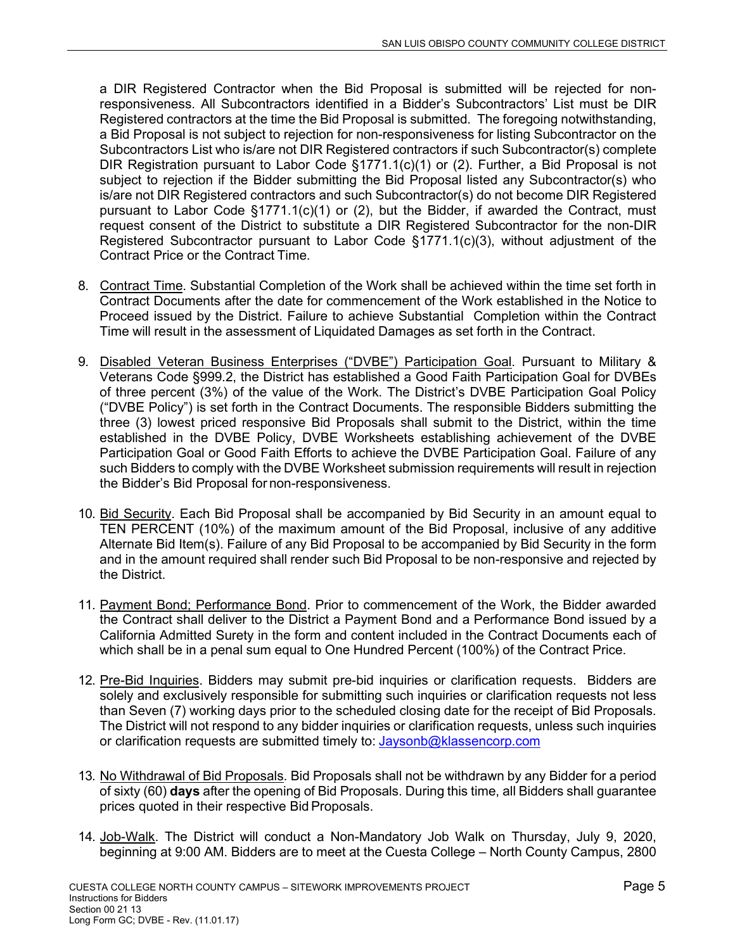a DIR Registered Contractor when the Bid Proposal is submitted will be rejected for nonresponsiveness. All Subcontractors identified in a Bidder's Subcontractors' List must be DIR Registered contractors at the time the Bid Proposal is submitted. The foregoing notwithstanding, a Bid Proposal is not subject to rejection for non-responsiveness for listing Subcontractor on the Subcontractors List who is/are not DIR Registered contractors if such Subcontractor(s) complete DIR Registration pursuant to Labor Code §1771.1(c)(1) or (2). Further, a Bid Proposal is not subject to rejection if the Bidder submitting the Bid Proposal listed any Subcontractor(s) who is/are not DIR Registered contractors and such Subcontractor(s) do not become DIR Registered pursuant to Labor Code §1771.1(c)(1) or (2), but the Bidder, if awarded the Contract, must request consent of the District to substitute a DIR Registered Subcontractor for the non-DIR Registered Subcontractor pursuant to Labor Code §1771.1(c)(3), without adjustment of the Contract Price or the Contract Time.

- 8. Contract Time. Substantial Completion of the Work shall be achieved within the time set forth in Contract Documents after the date for commencement of the Work established in the Notice to Proceed issued by the District. Failure to achieve Substantial Completion within the Contract Time will result in the assessment of Liquidated Damages as set forth in the Contract.
- 9. Disabled Veteran Business Enterprises ("DVBE") Participation Goal. Pursuant to Military & Veterans Code §999.2, the District has established a Good Faith Participation Goal for DVBEs of three percent (3%) of the value of the Work. The District's DVBE Participation Goal Policy ("DVBE Policy") is set forth in the Contract Documents. The responsible Bidders submitting the three (3) lowest priced responsive Bid Proposals shall submit to the District, within the time established in the DVBE Policy, DVBE Worksheets establishing achievement of the DVBE Participation Goal or Good Faith Efforts to achieve the DVBE Participation Goal. Failure of any such Bidders to comply with the DVBE Worksheet submission requirements will result in rejection the Bidder's Bid Proposal for non-responsiveness.
- 10. Bid Security. Each Bid Proposal shall be accompanied by Bid Security in an amount equal to TEN PERCENT (10%) of the maximum amount of the Bid Proposal, inclusive of any additive Alternate Bid Item(s). Failure of any Bid Proposal to be accompanied by Bid Security in the form and in the amount required shall render such Bid Proposal to be non-responsive and rejected by the District.
- 11. Payment Bond; Performance Bond. Prior to commencement of the Work, the Bidder awarded the Contract shall deliver to the District a Payment Bond and a Performance Bond issued by a California Admitted Surety in the form and content included in the Contract Documents each of which shall be in a penal sum equal to One Hundred Percent (100%) of the Contract Price.
- 12. Pre-Bid Inquiries. Bidders may submit pre-bid inquiries or clarification requests. Bidders are solely and exclusively responsible for submitting such inquiries or clarification requests not less than Seven (7) working days prior to the scheduled closing date for the receipt of Bid Proposals. The District will not respond to any bidder inquiries or clarification requests, unless such inquiries or clarification requests are submitted timely to: Jaysonb@klassencorp.com
- 13. No Withdrawal of Bid Proposals. Bid Proposals shall not be withdrawn by any Bidder for a period of sixty (60) **days** after the opening of Bid Proposals. During this time, all Bidders shall guarantee prices quoted in their respective Bid Proposals.
- 14. Job-Walk. The District will conduct a Non-Mandatory Job Walk on Thursday, July 9, 2020, beginning at 9:00 AM. Bidders are to meet at the Cuesta College – North County Campus, 2800